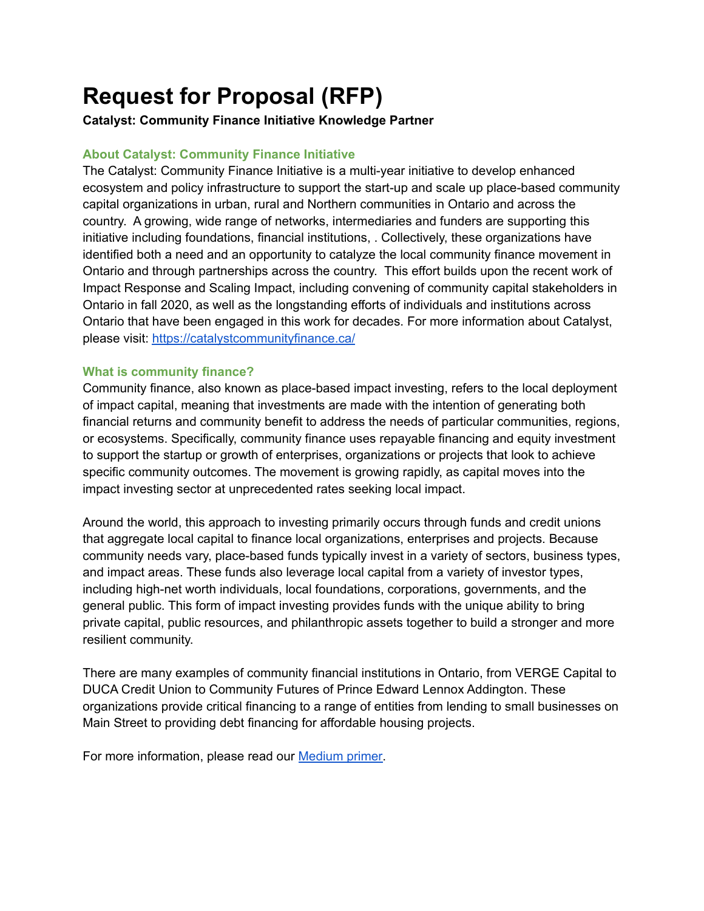# **Request for Proposal (RFP)**

# **Catalyst: Community Finance Initiative Knowledge Partner**

### **About Catalyst: Community Finance Initiative**

The Catalyst: Community Finance Initiative is a multi-year initiative to develop enhanced ecosystem and policy infrastructure to support the start-up and scale up place-based community capital organizations in urban, rural and Northern communities in Ontario and across the country. A growing, wide range of networks, intermediaries and funders are supporting this initiative including foundations, financial institutions, . Collectively, these organizations have identified both a need and an opportunity to catalyze the local community finance movement in Ontario and through partnerships across the country. This effort builds upon the recent work of Impact Response and Scaling Impact, including convening of community capital stakeholders in Ontario in fall 2020, as well as the longstanding efforts of individuals and institutions across Ontario that have been engaged in this work for decades. For more information about Catalyst, please visit: <https://catalystcommunityfinance.ca/>

#### **What is community finance?**

Community finance, also known as place-based impact investing, refers to the local deployment of impact capital, meaning that investments are made with the intention of generating both financial returns and community benefit to address the needs of particular communities, regions, or ecosystems. Specifically, community finance uses repayable financing and equity investment to support the startup or growth of enterprises, organizations or projects that look to achieve specific community outcomes. The movement is growing rapidly, as capital moves into the impact investing sector at unprecedented rates seeking local impact.

Around the world, this approach to investing primarily occurs through funds and credit unions that aggregate local capital to finance local organizations, enterprises and projects. Because community needs vary, place-based funds typically invest in a variety of sectors, business types, and impact areas. These funds also leverage local capital from a variety of investor types, including high-net worth individuals, local foundations, corporations, governments, and the general public. This form of impact investing provides funds with the unique ability to bring private capital, public resources, and philanthropic assets together to build a stronger and more resilient community.

There are many examples of community financial institutions in Ontario, from VERGE Capital to DUCA Credit Union to Community Futures of Prince Edward Lennox Addington. These organizations provide critical financing to a range of entities from lending to small businesses on Main Street to providing debt financing for affordable housing projects.

For more information, please read our [Medium](https://thesvx.medium.com/introducing-the-catalyst-community-finance-initiative-4e8f0f06e8b8) primer.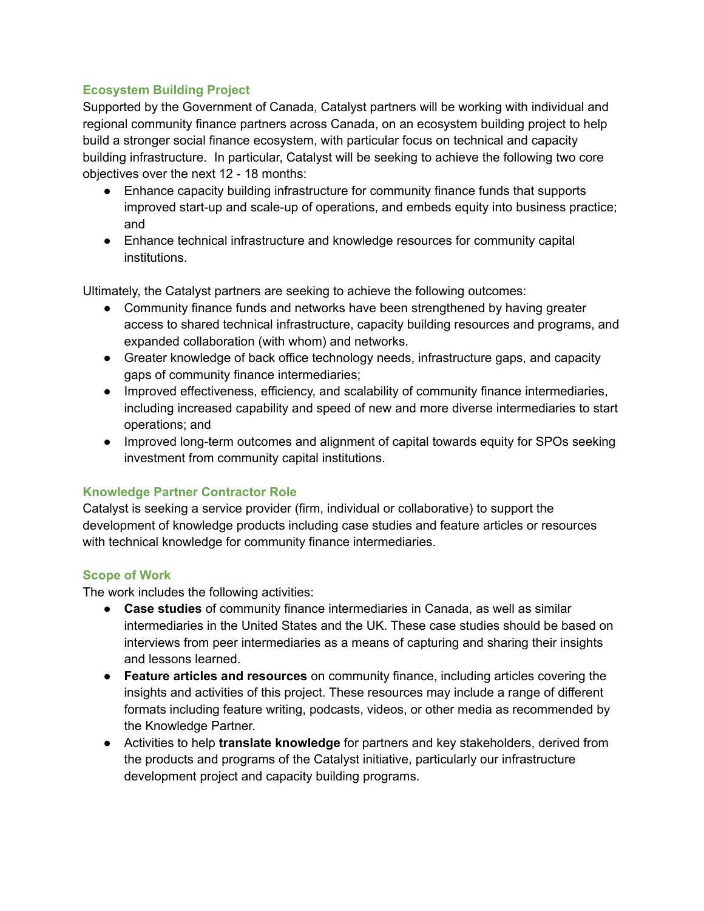### **Ecosystem Building Project**

Supported by the Government of Canada, Catalyst partners will be working with individual and regional community finance partners across Canada, on an ecosystem building project to help build a stronger social finance ecosystem, with particular focus on technical and capacity building infrastructure. In particular, Catalyst will be seeking to achieve the following two core objectives over the next 12 - 18 months:

- Enhance capacity building infrastructure for community finance funds that supports improved start-up and scale-up of operations, and embeds equity into business practice; and
- Enhance technical infrastructure and knowledge resources for community capital institutions.

Ultimately, the Catalyst partners are seeking to achieve the following outcomes:

- Community finance funds and networks have been strengthened by having greater access to shared technical infrastructure, capacity building resources and programs, and expanded collaboration (with whom) and networks.
- Greater knowledge of back office technology needs, infrastructure gaps, and capacity gaps of community finance intermediaries;
- Improved effectiveness, efficiency, and scalability of community finance intermediaries, including increased capability and speed of new and more diverse intermediaries to start operations; and
- Improved long-term outcomes and alignment of capital towards equity for SPOs seeking investment from community capital institutions.

## **Knowledge Partner Contractor Role**

Catalyst is seeking a service provider (firm, individual or collaborative) to support the development of knowledge products including case studies and feature articles or resources with technical knowledge for community finance intermediaries.

#### **Scope of Work**

The work includes the following activities:

- **Case studies** of community finance intermediaries in Canada, as well as similar intermediaries in the United States and the UK. These case studies should be based on interviews from peer intermediaries as a means of capturing and sharing their insights and lessons learned.
- **Feature articles and resources** on community finance, including articles covering the insights and activities of this project. These resources may include a range of different formats including feature writing, podcasts, videos, or other media as recommended by the Knowledge Partner.
- Activities to help **translate knowledge** for partners and key stakeholders, derived from the products and programs of the Catalyst initiative, particularly our infrastructure development project and capacity building programs.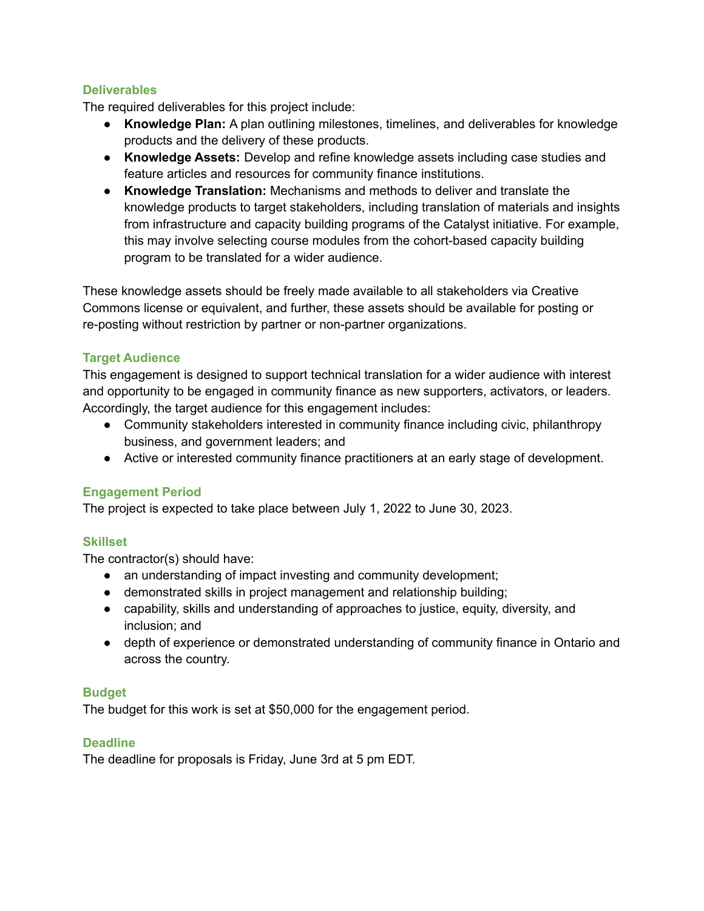# **Deliverables**

The required deliverables for this project include:

- **Knowledge Plan:** A plan outlining milestones, timelines, and deliverables for knowledge products and the delivery of these products.
- **Knowledge Assets:** Develop and refine knowledge assets including case studies and feature articles and resources for community finance institutions.
- **Knowledge Translation:** Mechanisms and methods to deliver and translate the knowledge products to target stakeholders, including translation of materials and insights from infrastructure and capacity building programs of the Catalyst initiative. For example, this may involve selecting course modules from the cohort-based capacity building program to be translated for a wider audience.

These knowledge assets should be freely made available to all stakeholders via Creative Commons license or equivalent, and further, these assets should be available for posting or re-posting without restriction by partner or non-partner organizations.

## **Target Audience**

This engagement is designed to support technical translation for a wider audience with interest and opportunity to be engaged in community finance as new supporters, activators, or leaders. Accordingly, the target audience for this engagement includes:

- Community stakeholders interested in community finance including civic, philanthropy business, and government leaders; and
- Active or interested community finance practitioners at an early stage of development.

## **Engagement Period**

The project is expected to take place between July 1, 2022 to June 30, 2023.

## **Skillset**

The contractor(s) should have:

- an understanding of impact investing and community development;
- demonstrated skills in project management and relationship building;
- capability, skills and understanding of approaches to justice, equity, diversity, and inclusion; and
- depth of experience or demonstrated understanding of community finance in Ontario and across the country.

# **Budget**

The budget for this work is set at \$50,000 for the engagement period.

## **Deadline**

The deadline for proposals is Friday, June 3rd at 5 pm EDT.